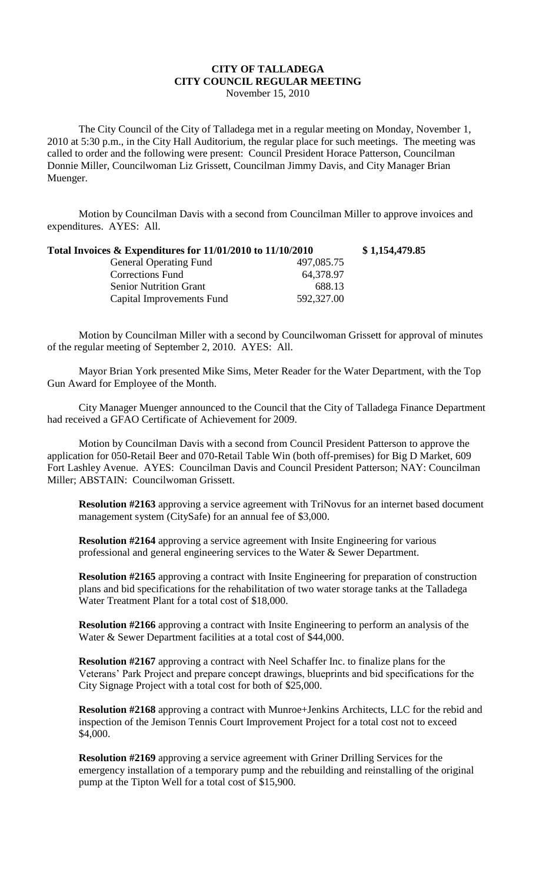## **CITY OF TALLADEGA CITY COUNCIL REGULAR MEETING**

November 15, 2010

The City Council of the City of Talladega met in a regular meeting on Monday, November 1, 2010 at 5:30 p.m., in the City Hall Auditorium, the regular place for such meetings. The meeting was called to order and the following were present: Council President Horace Patterson, Councilman Donnie Miller, Councilwoman Liz Grissett, Councilman Jimmy Davis, and City Manager Brian Muenger.

Motion by Councilman Davis with a second from Councilman Miller to approve invoices and expenditures. AYES: All.

| Total Invoices & Expenditures for 11/01/2010 to 11/10/2010 |            | \$1,154,479.85 |
|------------------------------------------------------------|------------|----------------|
| <b>General Operating Fund</b>                              | 497,085.75 |                |
| <b>Corrections Fund</b>                                    | 64,378.97  |                |
| <b>Senior Nutrition Grant</b>                              | 688.13     |                |
| Capital Improvements Fund                                  | 592,327.00 |                |

Motion by Councilman Miller with a second by Councilwoman Grissett for approval of minutes of the regular meeting of September 2, 2010. AYES: All.

Mayor Brian York presented Mike Sims, Meter Reader for the Water Department, with the Top Gun Award for Employee of the Month.

City Manager Muenger announced to the Council that the City of Talladega Finance Department had received a GFAO Certificate of Achievement for 2009.

Motion by Councilman Davis with a second from Council President Patterson to approve the application for 050-Retail Beer and 070-Retail Table Win (both off-premises) for Big D Market, 609 Fort Lashley Avenue. AYES: Councilman Davis and Council President Patterson; NAY: Councilman Miller; ABSTAIN: Councilwoman Grissett.

**Resolution #2163** approving a service agreement with TriNovus for an internet based document management system (CitySafe) for an annual fee of \$3,000.

**Resolution #2164** approving a service agreement with Insite Engineering for various professional and general engineering services to the Water & Sewer Department.

**Resolution #2165** approving a contract with Insite Engineering for preparation of construction plans and bid specifications for the rehabilitation of two water storage tanks at the Talladega Water Treatment Plant for a total cost of \$18,000.

**Resolution #2166** approving a contract with Insite Engineering to perform an analysis of the Water & Sewer Department facilities at a total cost of \$44,000.

**Resolution #2167** approving a contract with Neel Schaffer Inc. to finalize plans for the Veterans' Park Project and prepare concept drawings, blueprints and bid specifications for the City Signage Project with a total cost for both of \$25,000.

**Resolution #2168** approving a contract with Munroe+Jenkins Architects, LLC for the rebid and inspection of the Jemison Tennis Court Improvement Project for a total cost not to exceed \$4,000.

**Resolution #2169** approving a service agreement with Griner Drilling Services for the emergency installation of a temporary pump and the rebuilding and reinstalling of the original pump at the Tipton Well for a total cost of \$15,900.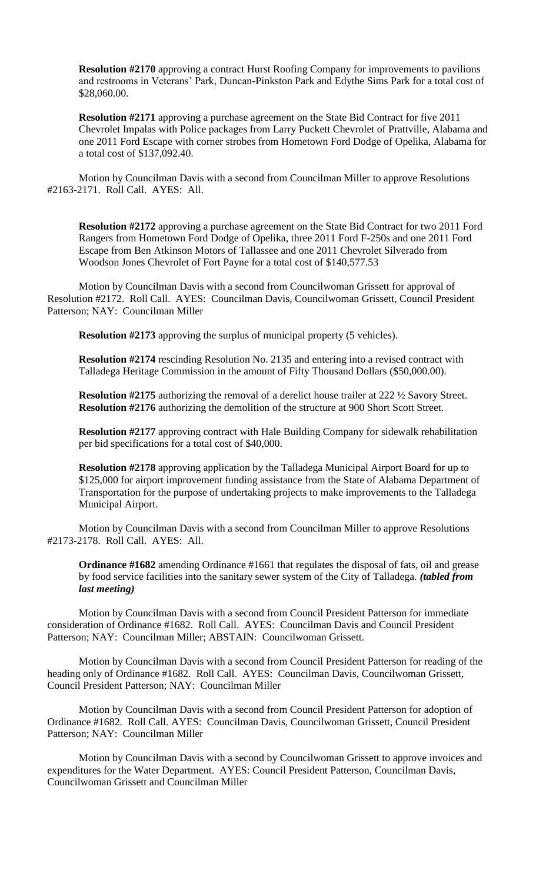**Resolution #2170** approving a contract Hurst Roofing Company for improvements to pavilions and restrooms in Veterans' Park, Duncan-Pinkston Park and Edythe Sims Park for a total cost of \$28,060.00.

**Resolution #2171** approving a purchase agreement on the State Bid Contract for five 2011 Chevrolet Impalas with Police packages from Larry Puckett Chevrolet of Prattville, Alabama and one 2011 Ford Escape with corner strobes from Hometown Ford Dodge of Opelika, Alabama for a total cost of \$137,092.40.

Motion by Councilman Davis with a second from Councilman Miller to approve Resolutions #2163-2171. Roll Call. AYES: All.

**Resolution #2172** approving a purchase agreement on the State Bid Contract for two 2011 Ford Rangers from Hometown Ford Dodge of Opelika, three 2011 Ford F-250s and one 2011 Ford Escape from Ben Atkinson Motors of Tallassee and one 2011 Chevrolet Silverado from Woodson Jones Chevrolet of Fort Payne for a total cost of \$140,577.53

Motion by Councilman Davis with a second from Councilwoman Grissett for approval of Resolution #2172. Roll Call. AYES: Councilman Davis, Councilwoman Grissett, Council President Patterson; NAY: Councilman Miller

**Resolution #2173** approving the surplus of municipal property (5 vehicles).

**Resolution #2174** rescinding Resolution No. 2135 and entering into a revised contract with Talladega Heritage Commission in the amount of Fifty Thousand Dollars (\$50,000.00).

**Resolution #2175** authorizing the removal of a derelict house trailer at 222  $\frac{1}{2}$  Savory Street. **Resolution #2176** authorizing the demolition of the structure at 900 Short Scott Street.

**Resolution #2177** approving contract with Hale Building Company for sidewalk rehabilitation per bid specifications for a total cost of \$40,000.

**Resolution #2178** approving application by the Talladega Municipal Airport Board for up to \$125,000 for airport improvement funding assistance from the State of Alabama Department of Transportation for the purpose of undertaking projects to make improvements to the Talladega Municipal Airport.

Motion by Councilman Davis with a second from Councilman Miller to approve Resolutions #2173-2178. Roll Call. AYES: All.

**Ordinance #1682** amending Ordinance #1661 that regulates the disposal of fats, oil and grease by food service facilities into the sanitary sewer system of the City of Talladega. *(tabled from last meeting)*

Motion by Councilman Davis with a second from Council President Patterson for immediate consideration of Ordinance #1682. Roll Call. AYES: Councilman Davis and Council President Patterson; NAY: Councilman Miller; ABSTAIN: Councilwoman Grissett.

Motion by Councilman Davis with a second from Council President Patterson for reading of the heading only of Ordinance #1682. Roll Call. AYES: Councilman Davis, Councilwoman Grissett, Council President Patterson; NAY: Councilman Miller

Motion by Councilman Davis with a second from Council President Patterson for adoption of Ordinance #1682. Roll Call. AYES: Councilman Davis, Councilwoman Grissett, Council President Patterson; NAY: Councilman Miller

Motion by Councilman Davis with a second by Councilwoman Grissett to approve invoices and expenditures for the Water Department. AYES: Council President Patterson, Councilman Davis, Councilwoman Grissett and Councilman Miller